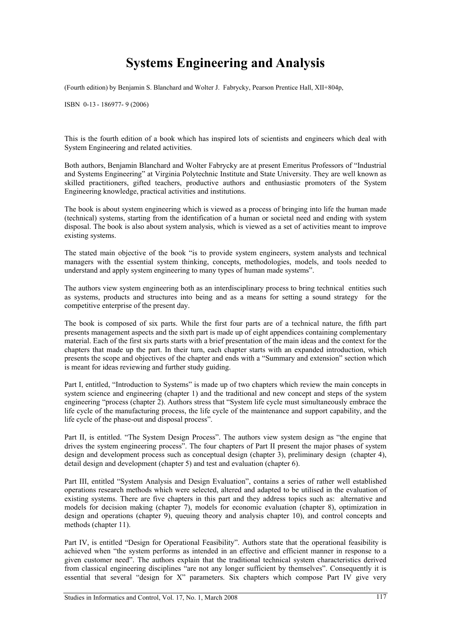## **Systems Engineering and Analysis**

(Fourth edition) by Benjamin S. Blanchard and Wolter J. Fabrycky, Pearson Prentice Hall, XII+804p,

ISBN 0-13 - 186977- 9 (2006)

This is the fourth edition of a book which has inspired lots of scientists and engineers which deal with System Engineering and related activities.

Both authors, Benjamin Blanchard and Wolter Fabrycky are at present Emeritus Professors of "Industrial and Systems Engineering" at Virginia Polytechnic Institute and State University. They are well known as skilled practitioners, gifted teachers, productive authors and enthusiastic promoters of the System Engineering knowledge, practical activities and institutions.

The book is about system engineering which is viewed as a process of bringing into life the human made (technical) systems, starting from the identification of a human or societal need and ending with system disposal. The book is also about system analysis, which is viewed as a set of activities meant to improve existing systems.

The stated main objective of the book "is to provide system engineers, system analysts and technical managers with the essential system thinking, concepts, methodologies, models, and tools needed to understand and apply system engineering to many types of human made systems".

The authors view system engineering both as an interdisciplinary process to bring technical entities such as systems, products and structures into being and as a means for setting a sound strategy for the competitive enterprise of the present day.

The book is composed of six parts. While the first four parts are of a technical nature, the fifth part presents management aspects and the sixth part is made up of eight appendices containing complementary material. Each of the first six parts starts with a brief presentation of the main ideas and the context for the chapters that made up the part. In their turn, each chapter starts with an expanded introduction, which presents the scope and objectives of the chapter and ends with a "Summary and extension" section which is meant for ideas reviewing and further study guiding.

Part I, entitled, "Introduction to Systems" is made up of two chapters which review the main concepts in system science and engineering (chapter 1) and the traditional and new concept and steps of the system engineering "process (chapter 2). Authors stress that "System life cycle must simultaneously embrace the life cycle of the manufacturing process, the life cycle of the maintenance and support capability, and the life cycle of the phase-out and disposal process".

Part II, is entitled. "The System Design Process". The authors view system design as "the engine that drives the system engineering process". The four chapters of Part II present the major phases of system design and development process such as conceptual design (chapter 3), preliminary design (chapter 4), detail design and development (chapter 5) and test and evaluation (chapter 6).

Part III, entitled "System Analysis and Design Evaluation", contains a series of rather well established operations research methods which were selected, altered and adapted to be utilised in the evaluation of existing systems. There are five chapters in this part and they address topics such as: alternative and models for decision making (chapter 7), models for economic evaluation (chapter 8), optimization in design and operations (chapter 9), queuing theory and analysis chapter 10), and control concepts and methods (chapter 11).

Part IV, is entitled "Design for Operational Feasibility". Authors state that the operational feasibility is achieved when "the system performs as intended in an effective and efficient manner in response to a given customer need". The authors explain that the traditional technical system characteristics derived from classical engineering disciplines "are not any longer sufficient by themselves". Consequently it is essential that several "design for X" parameters. Six chapters which compose Part IV give very